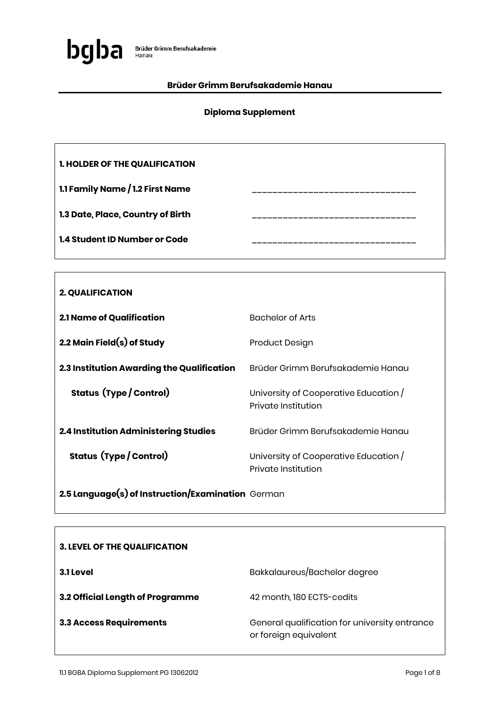

### Brüder Grimm Berufsakademie Hanau

## Diploma Supplement

| <b>1. HOLDER OF THE QUALIFICATION</b> |  |
|---------------------------------------|--|
| 1.1 Family Name / 1.2 First Name      |  |
| 1.3 Date, Place, Country of Birth     |  |
| <b>1.4 Student ID Number or Code</b>  |  |

| <b>2. QUALIFICATION</b>                      |                                                              |
|----------------------------------------------|--------------------------------------------------------------|
| 2.1 Name of Qualification                    | <b>Bachelor of Arts</b>                                      |
| 2.2 Main Field $(s)$ of Study                | Product Design                                               |
| 2.3 Institution Awarding the Qualification   | Brüder Grimm Berufsakademie Hanau                            |
| <b>Status (Type / Control)</b>               | University of Cooperative Education /<br>Private Institution |
| <b>2.4 Institution Administering Studies</b> | Brüder Grimm Berufsakademie Hanau                            |
| <b>Status (Type / Control)</b>               | University of Cooperative Education /<br>Private Institution |

2.5 Language(s) of Instruction/Examination German

| <b>3. LEVEL OF THE QUALIFICATION</b> |                                                                        |
|--------------------------------------|------------------------------------------------------------------------|
| 3.1 Level                            | Bakkalaureus/Bachelor degree                                           |
| 3.2 Official Length of Programme     | 42 month, 180 ECTS-cedits                                              |
| <b>3.3 Access Requirements</b>       | General qualification for university entrance<br>or foreign equivalent |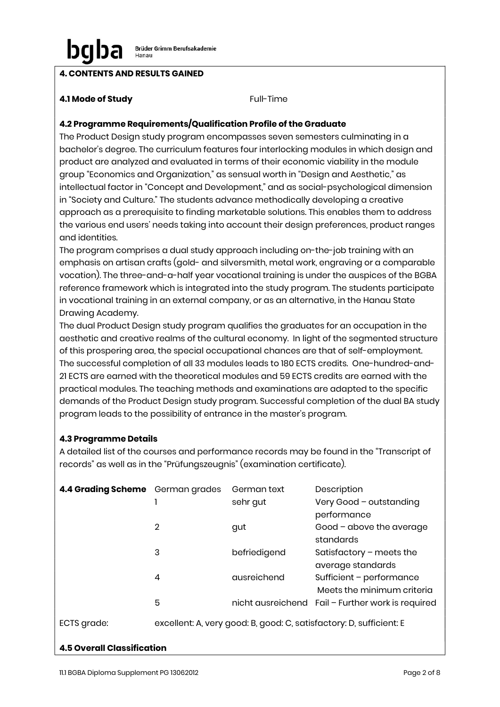## 4. CONTENTS AND RESULTS GAINED

### **4.1 Mode of Study Full-Time**

### 4.2 Programme Requirements/Qualification Profile of the Graduate

The Product Design study program encompasses seven semesters culminating in a bachelor's degree. The curriculum features four interlocking modules in which design and product are analyzed and evaluated in terms of their economic viability in the module group "Economics and Organization," as sensual worth in "Design and Aesthetic," as intellectual factor in "Concept and Development," and as social-psychological dimension in "Society and Culture." The students advance methodically developing a creative approach as a prerequisite to finding marketable solutions. This enables them to address the various end users' needs taking into account their design preferences, product ranges and identities.

The program comprises a dual study approach including on-the-job training with an emphasis on artisan crafts (gold- and silversmith, metal work, engraving or a comparable vocation). The three-and-a-half year vocational training is under the auspices of the BGBA reference framework which is integrated into the study program. The students participate in vocational training in an external company, or as an alternative, in the Hanau State Drawing Academy.

The dual Product Design study program qualifies the graduates for an occupation in the aesthetic and creative realms of the cultural economy. In light of the segmented structure of this prospering area, the special occupational chances are that of self-employment. The successful completion of all 33 modules leads to 180 ECTS credits. One-hundred-and-21 ECTS are earned with the theoretical modules and 59 ECTS credits are earned with the practical modules. The teaching methods and examinations are adapted to the specific demands of the Product Design study program. Successful completion of the dual BA study program leads to the possibility of entrance in the master's program.

### 4.3 Programme Details

A detailed list of the courses and performance records may be found in the "Transcript of records" as well as in the "Prüfungszeugnis" (examination certificate).

| 4.4 Grading Scheme German grades |                | German text  | Description                                                         |
|----------------------------------|----------------|--------------|---------------------------------------------------------------------|
|                                  |                | sehr gut     | Very Good - outstanding                                             |
|                                  |                |              | performance                                                         |
|                                  | $\overline{2}$ | gut          | Good - above the average                                            |
|                                  |                |              | standards                                                           |
|                                  | 3              | befriedigend | Satisfactory $-$ meets the                                          |
|                                  |                |              | average standards                                                   |
|                                  | 4              | ausreichend  | Sufficient - performance                                            |
|                                  |                |              | Meets the minimum criteria                                          |
|                                  | 5              |              | nicht ausreichend Fail - Further work is required                   |
| ECTS grade:                      |                |              | excellent: A, very good: B, good: C, satisfactory: D, sufficient: E |

#### 4.5 Overall Classification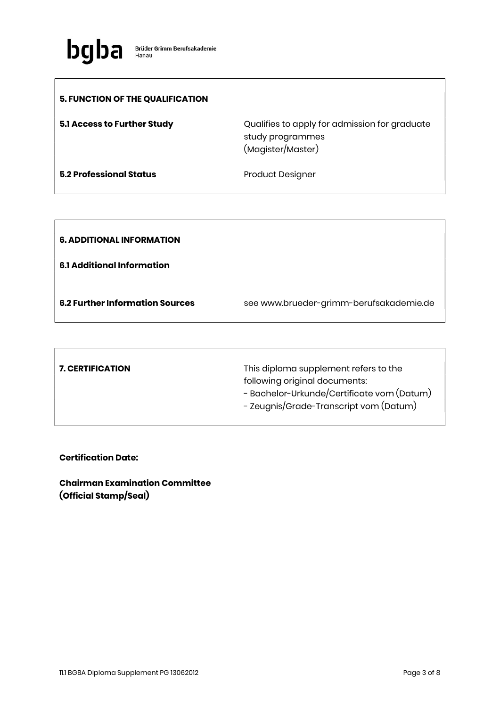

| <b>5. FUNCTION OF THE QUALIFICATION</b> |                                                                                        |
|-----------------------------------------|----------------------------------------------------------------------------------------|
| 5.1 Access to Further Study             | Qualifies to apply for admission for graduate<br>study programmes<br>(Magister/Master) |
| <b>5.2 Professional Status</b>          | <b>Product Designer</b>                                                                |

| <b>6. ADDITIONAL INFORMATION</b>       |                                         |
|----------------------------------------|-----------------------------------------|
| 6.1 Additional Information             |                                         |
| <b>6.2 Further Information Sources</b> | see www.brueder-grimm-berufsakademie.de |

| <b>7. CERTIFICATION</b> | This diploma supplement refers to the      |
|-------------------------|--------------------------------------------|
|                         | following original documents:              |
|                         | - Bachelor-Urkunde/Certificate vom (Datum) |
|                         | - Zeugnis/Grade-Transcript vom (Datum)     |
|                         |                                            |

Certification Date:

Chairman Examination Committee (Official Stamp/Seal)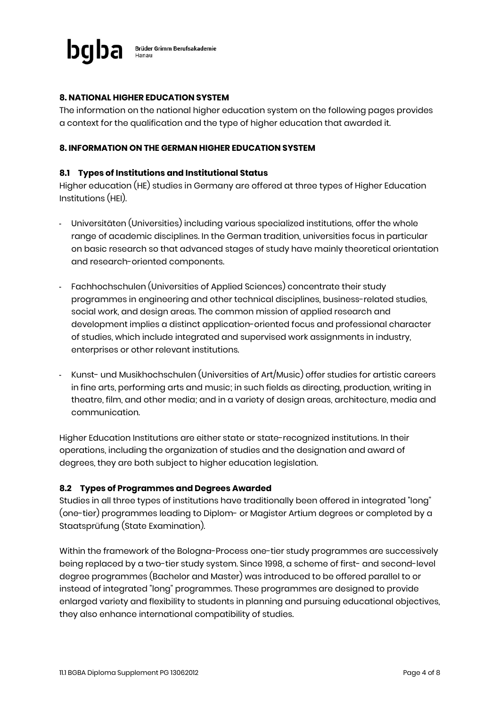

### 8. NATIONAL HIGHER EDUCATION SYSTEM

The information on the national higher education system on the following pages provides a context for the qualification and the type of higher education that awarded it.

#### 8. INFORMATION ON THE GERMAN HIGHER EDUCATION SYSTEM

#### 8.1 Types of Institutions and Institutional Status

Higher education (HE) studies in Germany are offered at three types of Higher Education Institutions (HEI).

- Universitäten (Universities) including various specialized institutions, offer the whole range of academic disciplines. In the German tradition, universities focus in particular on basic research so that advanced stages of study have mainly theoretical orientation and research-oriented components.
- Fachhochschulen (Universities of Applied Sciences) concentrate their study programmes in engineering and other technical disciplines, business-related studies, social work, and design areas. The common mission of applied research and development implies a distinct application-oriented focus and professional character of studies, which include integrated and supervised work assignments in industry, enterprises or other relevant institutions.
- Kunst- und Musikhochschulen (Universities of Art/Music) offer studies for artistic careers in fine arts, performing arts and music; in such fields as directing, production, writing in theatre, film, and other media; and in a variety of design areas, architecture, media and communication.

Higher Education Institutions are either state or state-recognized institutions. In their operations, including the organization of studies and the designation and award of degrees, they are both subject to higher education legislation.

#### 8.2 Types of Programmes and Degrees Awarded

Studies in all three types of institutions have traditionally been offered in integrated "long" (one-tier) programmes leading to Diplom- or Magister Artium degrees or completed by a Staatsprüfung (State Examination).

Within the framework of the Bologna-Process one-tier study programmes are successively being replaced by a two-tier study system. Since 1998, a scheme of first- and second-level degree programmes (Bachelor and Master) was introduced to be offered parallel to or instead of integrated "long" programmes. These programmes are designed to provide enlarged variety and flexibility to students in planning and pursuing educational objectives, they also enhance international compatibility of studies.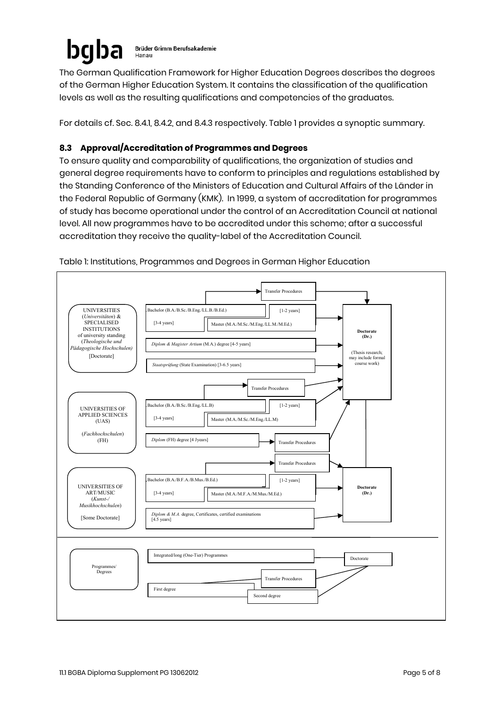#### bgl **Brüder Grimm Berufsakademie** Hanau

The German Qualification Framework for Higher Education Degrees describes the degrees of the German Higher Education System. It contains the classification of the qualification levels as well as the resulting qualifications and competencies of the graduates.

For details cf. Sec. 8.4.1, 8.4.2, and 8.4.3 respectively. Table 1 provides a synoptic summary.

# 8.3 Approval/Accreditation of Programmes and Degrees

To ensure quality and comparability of qualifications, the organization of studies and general degree requirements have to conform to principles and regulations established by the Standing Conference of the Ministers of Education and Cultural Affairs of the Länder in the Federal Republic of Germany (KMK). In 1999, a system of accreditation for programmes of study has become operational under the control of an Accreditation Council at national level. All new programmes have to be accredited under this scheme; after a successful accreditation they receive the quality-label of the Accreditation Council.



Table 1: Institutions, Programmes and Degrees in German Higher Education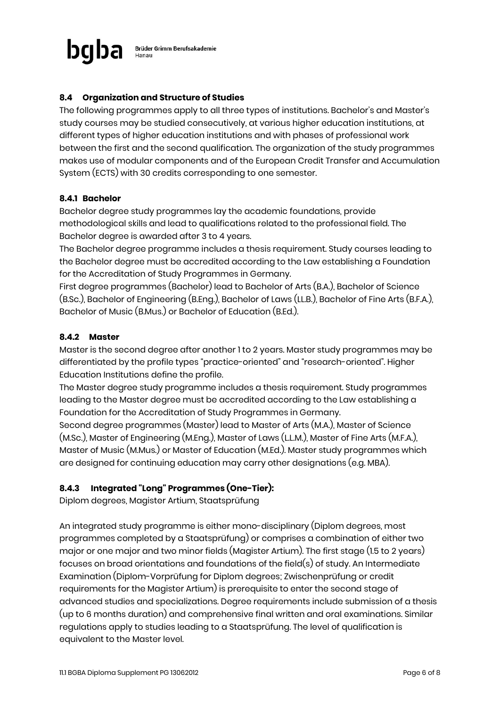

## 8.4 Organization and Structure of Studies

The following programmes apply to all three types of institutions. Bachelor's and Master's study courses may be studied consecutively, at various higher education institutions, at different types of higher education institutions and with phases of professional work between the first and the second qualification. The organization of the study programmes makes use of modular components and of the European Credit Transfer and Accumulation System (ECTS) with 30 credits corresponding to one semester.

#### 8.4.1 Bachelor

Bachelor degree study programmes lay the academic foundations, provide methodological skills and lead to qualifications related to the professional field. The Bachelor degree is awarded after 3 to 4 years.

The Bachelor degree programme includes a thesis requirement. Study courses leading to the Bachelor degree must be accredited according to the Law establishing a Foundation for the Accreditation of Study Programmes in Germany.

First degree programmes (Bachelor) lead to Bachelor of Arts (B.A.), Bachelor of Science (B.Sc.), Bachelor of Engineering (B.Eng.), Bachelor of Laws (LL.B.), Bachelor of Fine Arts (B.F.A.), Bachelor of Music (B.Mus.) or Bachelor of Education (B.Ed.).

#### 8.4.2 Master

Master is the second degree after another 1 to 2 years. Master study programmes may be differentiated by the profile types "practice-oriented" and "research-oriented". Higher Education Institutions define the profile.

The Master degree study programme includes a thesis requirement. Study programmes leading to the Master degree must be accredited according to the Law establishing a Foundation for the Accreditation of Study Programmes in Germany.

Second degree programmes (Master) lead to Master of Arts (M.A.), Master of Science (M.Sc.), Master of Engineering (M.Eng.), Master of Laws (L.L.M.), Master of Fine Arts (M.F.A.), Master of Music (M.Mus.) or Master of Education (M.Ed.). Master study programmes which are designed for continuing education may carry other designations (e.g. MBA).

### 8.4.3 Integrated "Long" Programmes (One-Tier):

Diplom degrees, Magister Artium, Staatsprüfung

An integrated study programme is either mono-disciplinary (Diplom degrees, most programmes completed by a Staatsprüfung) or comprises a combination of either two major or one major and two minor fields (Magister Artium). The first stage (1.5 to 2 years) focuses on broad orientations and foundations of the field(s) of study. An Intermediate Examination (Diplom-Vorprüfung for Diplom degrees; Zwischenprüfung or credit requirements for the Magister Artium) is prerequisite to enter the second stage of advanced studies and specializations. Degree requirements include submission of a thesis (up to 6 months duration) and comprehensive final written and oral examinations. Similar regulations apply to studies leading to a Staatsprüfung. The level of qualification is equivalent to the Master level.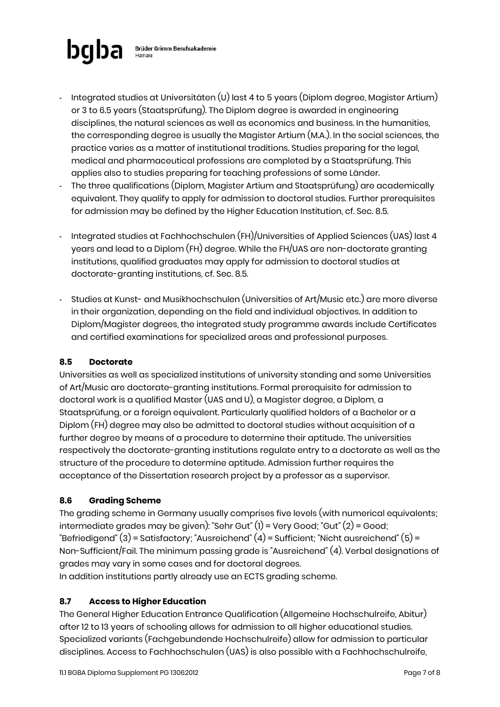

- Integrated studies at Universitäten (U) last 4 to 5 years (Diplom degree, Magister Artium) or 3 to 6.5 years (Staatsprüfung). The Diplom degree is awarded in engineering disciplines, the natural sciences as well as economics and business. In the humanities, the corresponding degree is usually the Magister Artium (M.A.). In the social sciences, the practice varies as a matter of institutional traditions. Studies preparing for the legal, medical and pharmaceutical professions are completed by a Staatsprüfung. This applies also to studies preparing for teaching professions of some Länder.
- The three qualifications (Diplom, Magister Artium and Staatsprüfung) are academically equivalent. They qualify to apply for admission to doctoral studies. Further prerequisites for admission may be defined by the Higher Education Institution, cf. Sec. 8.5.
- Integrated studies at Fachhochschulen (FH)/Universities of Applied Sciences (UAS) last 4 years and lead to a Diplom (FH) degree. While the FH/UAS are non-doctorate granting institutions, qualified graduates may apply for admission to doctoral studies at doctorate-granting institutions, cf. Sec. 8.5.
- Studies at Kunst- and Musikhochschulen (Universities of Art/Music etc.) are more diverse in their organization, depending on the field and individual objectives. In addition to Diplom/Magister degrees, the integrated study programme awards include Certificates and certified examinations for specialized areas and professional purposes.

## 8.5 Doctorate

Universities as well as specialized institutions of university standing and some Universities of Art/Music are doctorate-granting institutions. Formal prerequisite for admission to doctoral work is a qualified Master (UAS and U), a Magister degree, a Diplom, a Staatsprüfung, or a foreign equivalent. Particularly qualified holders of a Bachelor or a Diplom (FH) degree may also be admitted to doctoral studies without acquisition of a further degree by means of a procedure to determine their aptitude. The universities respectively the doctorate-granting institutions regulate entry to a doctorate as well as the structure of the procedure to determine aptitude. Admission further requires the acceptance of the Dissertation research project by a professor as a supervisor.

## 8.6 Grading Scheme

The grading scheme in Germany usually comprises five levels (with numerical equivalents; intermediate grades may be given): "Sehr Gut" (1) = Very Good; "Gut" (2) = Good; "Befriedigend" (3) = Satisfactory; "Ausreichend" (4) = Sufficient; "Nicht ausreichend" (5) = Non-Sufficient/Fail. The minimum passing grade is "Ausreichend" (4). Verbal designations of grades may vary in some cases and for doctoral degrees.

In addition institutions partly already use an ECTS grading scheme.

## 8.7 Access to Higher Education

The General Higher Education Entrance Qualification (Allgemeine Hochschulreife, Abitur) after 12 to 13 years of schooling allows for admission to all higher educational studies. Specialized variants (Fachgebundende Hochschulreife) allow for admission to particular disciplines. Access to Fachhochschulen (UAS) is also possible with a Fachhochschulreife,